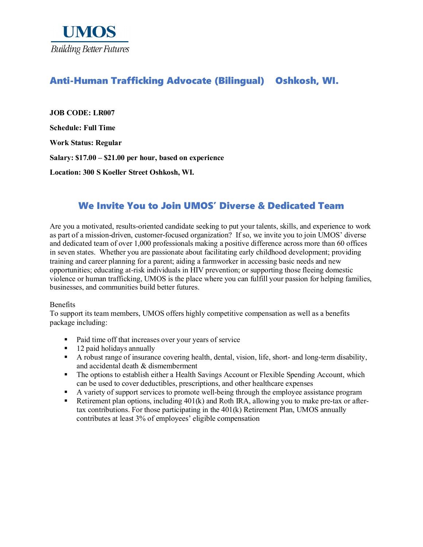

# Anti-Human Trafficking Advocate (Bilingual) Oshkosh, WI.

**JOB CODE: LR007 Schedule: Full Time Work Status: Regular Salary: \$17.00 – \$21.00 per hour, based on experience**

**Location: 300 S Koeller Street Oshkosh, WI.**

# We Invite You to Join UMOS' Diverse & Dedicated Team

Are you a motivated, results-oriented candidate seeking to put your talents, skills, and experience to work as part of a mission-driven, customer-focused organization? If so, we invite you to join UMOS' diverse and dedicated team of over 1,000 professionals making a positive difference across more than 60 offices in seven states. Whether you are passionate about facilitating early childhood development; providing training and career planning for a parent; aiding a farmworker in accessing basic needs and new opportunities; educating at-risk individuals in HIV prevention; or supporting those fleeing domestic violence or human trafficking, UMOS is the place where you can fulfill your passion for helping families, businesses, and communities build better futures.

#### Benefits

To support its team members, UMOS offers highly competitive compensation as well as a benefits package including:

- Paid time off that increases over your years of service
- 12 paid holidays annually
- A robust range of insurance covering health, dental, vision, life, short- and long-term disability, and accidental death & dismemberment
- The options to establish either a Health Savings Account or Flexible Spending Account, which can be used to cover deductibles, prescriptions, and other healthcare expenses
- A variety of support services to promote well-being through the employee assistance program<br>Retirement plan options, including 401(k) and Roth IRA, allowing you to make pre-tax or after
- Retirement plan options, including 401(k) and Roth IRA, allowing you to make pre-tax or aftertax contributions. For those participating in the  $401(k)$  Retirement Plan, UMOS annually contributes at least 3% of employees' eligible compensation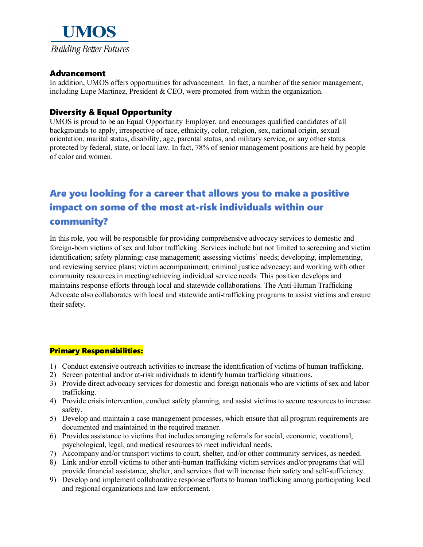

# Advancement

In addition, UMOS offers opportunities for advancement. In fact, a number of the senior management, including Lupe Martinez, President & CEO, were promoted from within the organization.

### Diversity & Equal Opportunity

UMOS is proud to be an Equal Opportunity Employer, and encourages qualified candidates of all backgrounds to apply, irrespective of race, ethnicity, color, religion, sex, national origin, sexual orientation, marital status, disability, age, parental status, and military service, or any other status protected by federal, state, or local law. In fact, 78% of senior management positions are held by people of color and women.

# Are you looking for a career that allows you to make a positive impact on some of the most at-risk individuals within our community?

In this role, you will be responsible for providing comprehensive advocacy services to domestic and foreign-born victims of sex and labor trafficking. Services include but not limited to screening and victim identification; safety planning; case management; assessing victims' needs; developing, implementing, and reviewing service plans; victim accompaniment; criminal justice advocacy; and working with other community resources in meeting/achieving individual service needs. This position develops and maintains response efforts through local and statewide collaborations. The Anti-Human Trafficking Advocate also collaborates with local and statewide anti-trafficking programs to assist victims and ensure their safety.

#### Primary Responsibilities:

- 1) Conduct extensive outreach activities to increase the identification of victims of human trafficking.
- 2) Screen potential and/or at-risk individuals to identify human trafficking situations.
- 3) Provide direct advocacy services for domestic and foreign nationals who are victims of sex and labor trafficking.
- 4) Provide crisis intervention, conduct safety planning, and assist victims to secure resources to increase safety.
- 5) Develop and maintain a case management processes, which ensure that all program requirements are documented and maintained in the required manner.
- 6) Provides assistance to victims that includes arranging referrals for social, economic, vocational, psychological, legal, and medical resources to meet individual needs.
- 7) Accompany and/or transport victims to court, shelter, and/or other community services, as needed.
- 8) Link and/or enroll victims to other anti-human trafficking victim services and/or programs that will provide financial assistance, shelter, and services that will increase their safety and self-sufficiency.
- 9) Develop and implement collaborative response efforts to human trafficking among participating local and regional organizations and law enforcement.